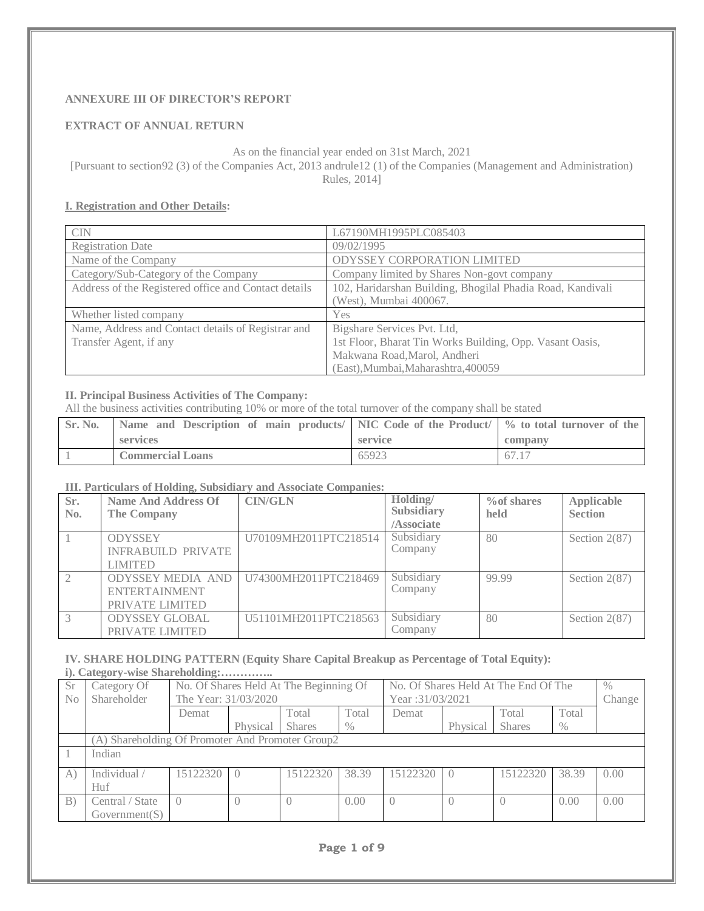# **ANNEXURE III OF DIRECTOR'S REPORT**

## **EXTRACT OF ANNUAL RETURN**

As on the financial year ended on 31st March, 2021 [Pursuant to section92 (3) of the Companies Act, 2013 andrule12 (1) of the Companies (Management and Administration) Rules, 2014]

## **I. Registration and Other Details:**

| <b>CIN</b>                                           | L67190MH1995PLC085403                                      |
|------------------------------------------------------|------------------------------------------------------------|
| <b>Registration Date</b>                             | 09/02/1995                                                 |
| Name of the Company                                  | ODYSSEY CORPORATION LIMITED                                |
| Category/Sub-Category of the Company                 | Company limited by Shares Non-govt company                 |
| Address of the Registered office and Contact details | 102, Haridarshan Building, Bhogilal Phadia Road, Kandivali |
|                                                      | (West), Mumbai 400067.                                     |
| Whether listed company                               | <b>Yes</b>                                                 |
| Name, Address and Contact details of Registrar and   | Bigshare Services Pvt. Ltd,                                |
| Transfer Agent, if any                               | 1st Floor, Bharat Tin Works Building, Opp. Vasant Oasis,   |
|                                                      | Makwana Road, Marol, Andheri                               |
|                                                      | (East), Mumbai, Maharashtra, 400059                        |

## **II. Principal Business Activities of The Company:**

All the business activities contributing 10% or more of the total turnover of the company shall be stated

| Sr. No. | Name and Description of main products/ NIC Code of the Product/ \% to total turnover of the |         |         |
|---------|---------------------------------------------------------------------------------------------|---------|---------|
|         | services                                                                                    | service | company |
|         | <b>Commercial Loans</b>                                                                     | 65923   | 67.17   |

#### **III. Particulars of Holding, Subsidiary and Associate Companies:**

| Sr.<br>No.    | <b>Name And Address Of</b><br>The Company                           | <b>CIN/GLN</b>        | Holding/<br>Subsidiary<br>/Associate | $\%$ of shares<br>held | Applicable<br><b>Section</b> |
|---------------|---------------------------------------------------------------------|-----------------------|--------------------------------------|------------------------|------------------------------|
|               | <b>ODYSSEY</b><br><b>INFRABUILD PRIVATE</b><br><b>LIMITED</b>       | U70109MH2011PTC218514 | Subsidiary<br>Company                | 80                     | Section $2(87)$              |
| $\mathcal{L}$ | <b>ODYSSEY MEDIA AND</b><br><b>ENTERTAINMENT</b><br>PRIVATE LIMITED | U74300MH2011PTC218469 | Subsidiary<br>Company                | 99.99                  | Section $2(87)$              |
|               | <b>ODYSSEY GLOBAL</b><br>PRIVATE LIMITED                            | U51101MH2011PTC218563 | Subsidiary<br>Company                | 80                     | Section $2(87)$              |

# **IV. SHARE HOLDING PATTERN (Equity Share Capital Breakup as Percentage of Total Equity):**

**i). Category-wise Shareholding:…………..**

| Sr.               | $\sim$<br>Category Of                            |                      |          | No. Of Shares Held At The Beginning Of |       |                  |          | No. Of Shares Held At The End Of The |       | $\%$   |
|-------------------|--------------------------------------------------|----------------------|----------|----------------------------------------|-------|------------------|----------|--------------------------------------|-------|--------|
| N <sub>0</sub>    | Shareholder                                      | The Year: 31/03/2020 |          |                                        |       | Year: 31/03/2021 |          |                                      |       | Change |
|                   |                                                  | Demat                |          | Total                                  | Total | Demat            |          | Total                                | Total |        |
|                   |                                                  |                      | Physical | <b>Shares</b>                          | $\%$  |                  | Physical | <b>Shares</b>                        | $\%$  |        |
|                   | (A) Shareholding Of Promoter And Promoter Group2 |                      |          |                                        |       |                  |          |                                      |       |        |
|                   | Indian                                           |                      |          |                                        |       |                  |          |                                      |       |        |
| A                 | Individual /                                     | 15122320             |          | 15122320                               | 38.39 | 15122320         |          | 15122320                             | 38.39 | 0.00   |
|                   | Huf                                              |                      |          |                                        |       |                  |          |                                      |       |        |
| $\vert B \rangle$ | Central / State                                  | $\bigcap$            |          |                                        | 0.00  |                  |          |                                      | 0.00  | 0.00   |
|                   | Government(S)                                    |                      |          |                                        |       |                  |          |                                      |       |        |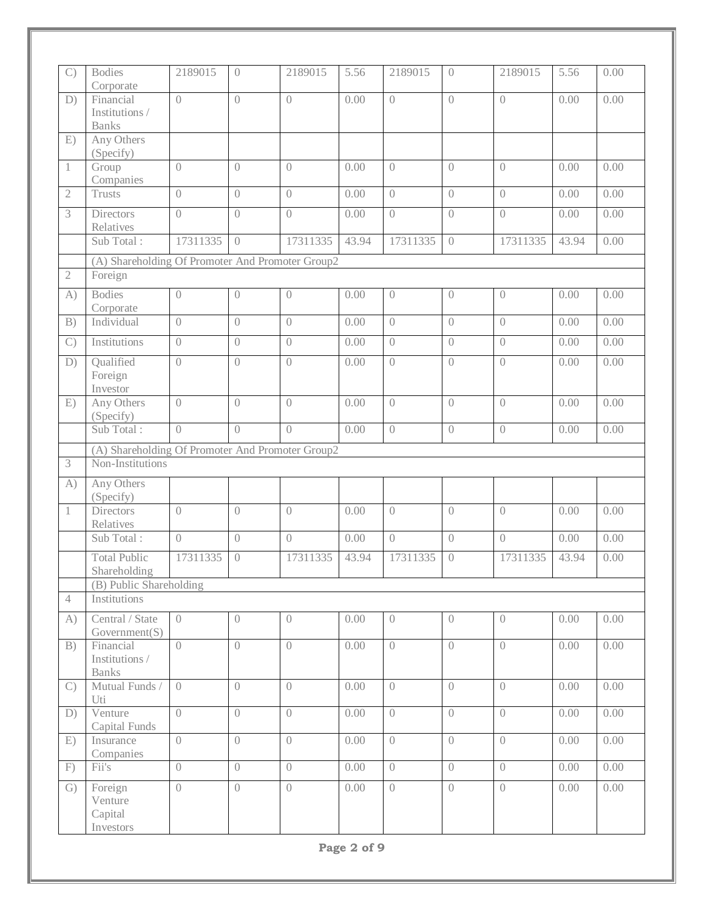| $\mathcal{C}$  | <b>Bodies</b>                                    | 2189015          | $\overline{0}$   | 2189015        | 5.56  | 2189015          | $\overline{0}$                 | 2189015                        | 5.56  | 0.00 |
|----------------|--------------------------------------------------|------------------|------------------|----------------|-------|------------------|--------------------------------|--------------------------------|-------|------|
| D)             | Corporate<br>Financial<br>Institutions /         | $\left( \right)$ | $\overline{()}$  | $\bigcirc$     | 0.00  | $\bigcirc$       | $\overline{0}$                 | $\overline{0}$                 | 0.00  | 0.00 |
|                | <b>Banks</b>                                     |                  |                  |                |       |                  |                                |                                |       |      |
| E)             | Any Others                                       |                  |                  |                |       |                  |                                |                                |       |      |
|                | (Specify)<br>Group<br>Companies                  | $\overline{0}$   | $\overline{0}$   | $\overline{0}$ | 0.00  | $\overline{0}$   | $\overline{0}$                 | $\overline{0}$                 | 0.00  | 0.00 |
| $\mathfrak{2}$ | <b>Trusts</b>                                    | $\overline{0}$   | $\overline{0}$   | $\overline{0}$ | 0.00  | $\overline{0}$   | $\left\langle {}\right\rangle$ | $\left\langle {}\right\rangle$ | 0.00  | 0.00 |
| 3              | <b>Directors</b><br>Relatives                    | $\overline{0}$   | $\left( \right)$ | $\overline{0}$ | 0.00  | $\overline{0}$   | $\overline{0}$                 | $\overline{0}$                 | 0.00  | 0.00 |
|                | Sub Total:                                       | 17311335         | $\left( \right)$ | 17311335       | 43.94 | 17311335         | $\overline{0}$                 | 17311335                       | 43.94 | 0.00 |
|                | (A) Shareholding Of Promoter And Promoter Group2 |                  |                  |                |       |                  |                                |                                |       |      |
| $\mathbf{2}$   | Foreign                                          |                  |                  |                |       |                  |                                |                                |       |      |
| A)             | <b>Bodies</b><br>Corporate                       | $\left( \right)$ | $\overline{0}$   | $\overline{0}$ | 0.00  | $\left( \right)$ | $\left( \right)$               | $\left( \right)$               | 0.00  | 0.00 |
| B)             | Individual                                       | $\overline{0}$   | $\bigcap$        | $\bigcap$      | 0.00  | $\overline{0}$   | $\overline{0}$                 | $\overline{0}$                 | 0.00  | 0.00 |
| $\mathcal{C}$  | Institutions                                     | $\overline{0}$   | $\overline{0}$   | $\overline{0}$ | 0.00  | $\overline{0}$   | $\sqrt{a}$                     | $\left\langle {}\right\rangle$ | 0.00  | 0.00 |
| D)             | Qualified<br>Foreign<br>Investor                 | $\overline{0}$   | $\overline{0}$   | $\overline{0}$ | 0.00  | $\overline{0}$   | $\overline{0}$                 | $\overline{0}$                 | 0.00  | 0.00 |
| E)             | Any Others<br>(Specify)                          | $\overline{0}$   | $\left( \right)$ | $\overline{0}$ | 0.00  | $\overline{0}$   | $\overline{0}$                 | $\overline{0}$                 | 0.00  | 0.00 |
|                | Sub Total:                                       | $\bigcap$        | $\left( \right)$ | $\bigcirc$     | 0.00  | $\overline{0}$   | $\overline{0}$                 | $\overline{0}$                 | 0.00  | 0.00 |
|                | (A) Shareholding Of Promoter And Promoter Group2 |                  |                  |                |       |                  |                                |                                |       |      |
| 3              | Non-Institutions                                 |                  |                  |                |       |                  |                                |                                |       |      |
| A)             | Any Others<br>(Specify)                          |                  |                  |                |       |                  |                                |                                |       |      |
| $\mathbf{1}$   | <b>Directors</b><br>Relatives                    | $\overline{0}$   | $\overline{0}$   | $\overline{0}$ | 0.00  | $\overline{0}$   | $\left\langle {}\right\rangle$ | $\left\langle {}\right\rangle$ | 0.00  | 0.00 |
|                | Sub Total:                                       | $\overline{0}$   | $\overline{0}$   | $\overline{0}$ | 0.00  | $\overline{0}$   | $\left\langle {}\right\rangle$ | $\sqrt{a}$                     | 0.00  | 0.00 |
|                | <b>Total Public</b><br>Shareholding              | 17311335         | $\overline{0}$   | 17311335       | 43.94 | 17311335         | $\left( \right)$               | 17311335                       | 43.94 | 0.00 |
| $\overline{4}$ | (B) Public Shareholding                          |                  |                  |                |       |                  |                                |                                |       |      |
|                | Institutions                                     |                  |                  |                |       |                  |                                |                                |       |      |
| A)             | Central / State<br>Government(S)                 | $\overline{0}$   | $\overline{0}$   | $\overline{0}$ | 0.00  | $\overline{0}$   | $\overline{0}$                 | $\left\langle {}\right\rangle$ | 0.00  | 0.00 |
| B)             | Financial<br>Institutions /<br><b>Banks</b>      | $\overline{0}$   | $\bigcap$        | $\overline{0}$ | 0.00  | $\overline{0}$   | $\overline{0}$                 | $\overline{0}$                 | 0.00  | 0.00 |
| $\mathcal{C}$  | Mutual Funds /<br>Uti                            | $\overline{0}$   | $\overline{0}$   | $\overline{0}$ | 0.00  | $\overline{0}$   | $\overline{0}$                 | $\overline{0}$                 | 0.00  | 0.00 |
| D)             | Venture<br>Capital Funds                         | $\bigcirc$       | $\bigcirc$       | $\bigcirc$     | 0.00  | $\left( \right)$ | $\overline{0}$                 | $\overline{0}$                 | 0.00  | 0.00 |
| E)             | Insurance<br>Companies                           | $\bigcap$        | $\bigcirc$       | $\overline{0}$ | 0.00  | $\overline{0}$   | $\overline{0}$                 | $\overline{0}$                 | 0.00  | 0.00 |
| F)             | Fii's                                            | $\left( \right)$ | $\bigcap$        | $\overline{0}$ | 0.00  | $\overline{0}$   | $\overline{0}$                 | $\left( \right)$               | 0.00  | 0.00 |
| G)             | Foreign<br>Venture<br>Capital                    | $\overline{0}$   | $\bigcap$        | $\overline{0}$ | 0.00  | $\overline{0}$   | $\overline{0}$                 | $\overline{0}$                 | 0.00  | 0.00 |
|                | Investors                                        |                  |                  |                |       |                  |                                |                                |       |      |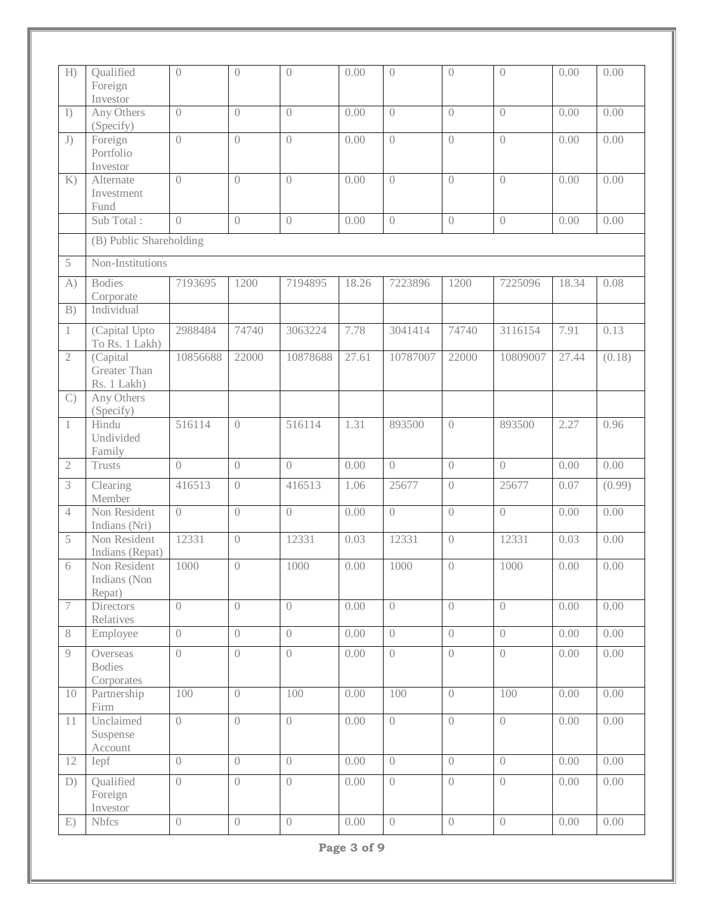| H              | Qualified<br>Foreign<br>Investor        | $\overline{0}$   | $\overline{0}$   | $\overline{0}$   | 0.00  | $\overline{0}$ | $\overline{0}$   | $\overline{0}$                 | 0.00  | 0.00   |
|----------------|-----------------------------------------|------------------|------------------|------------------|-------|----------------|------------------|--------------------------------|-------|--------|
| I)             | Any Others<br>(Specify)                 | $\overline{0}$   | $\overline{0}$   | $\overline{0}$   | 0.00  | $\overline{0}$ | $\overline{0}$   | $\sqrt{a}$                     | 0.00  | 0.00   |
| J)             | Foreign<br>Portfolio<br>Investor        | $\bigcirc$       | $\bigcirc$       | $\bigcirc$       | 0.00  | $\overline{0}$ | $\overline{0}$   | $\overline{0}$                 | 0.00  | 0.00   |
| K)             | Alternate<br>Investment<br>Fund         | $\bigcap$        | $\overline{0}$   | $\overline{0}$   | 0.00  | $\overline{0}$ | $\overline{0}$   | $\overline{0}$                 | 0.00  | 0.00   |
|                | Sub Total:                              | $\overline{0}$   | $\overline{0}$   | $\overline{0}$   | 0.00  | $\overline{0}$ | $\overline{0}$   | $\sqrt{a}$                     | 0.00  | 0.00   |
|                | (B) Public Shareholding                 |                  |                  |                  |       |                |                  |                                |       |        |
| 5              | Non-Institutions                        |                  |                  |                  |       |                |                  |                                |       |        |
| A)             | <b>Bodies</b><br>Corporate              | 7193695          | 1200             | 7194895          | 18.26 | 7223896        | 1200             | 7225096                        | 18.34 | 0.08   |
| B)             | Individual                              |                  |                  |                  |       |                |                  |                                |       |        |
| $\mathbf{1}$   | (Capital Upto<br>To Rs. 1 Lakh)         | 2988484          | 74740            | 3063224          | 7.78  | 3041414        | 74740            | 3116154                        | 7.91  | 0.13   |
| $\mathfrak{2}$ | (Capital<br>Greater Than<br>Rs. 1 Lakh) | 10856688         | 22000            | 10878688         | 27.61 | 10787007       | 22000            | 10809007                       | 27.44 | (0.18) |
| $\mathcal{C}$  | Any Others<br>(Specify)                 |                  |                  |                  |       |                |                  |                                |       |        |
| 1              | Hindu<br>Undivided<br>Family            | 516114           | $\overline{0}$   | 516114           | 1.31  | 893500         | $\left( \right)$ | 893500                         | 2.27  | 0.96   |
| $\mathbf{2}$   | <b>Trusts</b>                           | $\bigcirc$       | $\overline{0}$   | $\bigcirc$       | 0.00  | $\overline{0}$ | $\overline{0}$   | $\sqrt{a}$                     | 0.00  | 0.00   |
| 3              | Clearing<br>Member                      | 416513           | $\overline{0}$   | 416513           | 1.06  | 25677          | $\left( \right)$ | 25677                          | 0.07  | (0.99) |
| $\overline{4}$ | Non Resident<br>Indians (Nri)           | $\bigcirc$       | $\bigcirc$       | $\bigcirc$       | 0.00  | $\bigcirc$     | $\overline{0}$   | $\overline{0}$                 | 0.00  | 0.00   |
| 5              | Non Resident<br>Indians (Repat)         | 12331            | $\left( \right)$ | 12331            | 0.03  | 12331          | $\overline{0}$   | 12331                          | 0.03  | 0.00   |
| 6              | Non Resident<br>Indians (Non<br>Repat)  | 1000             | $\bigcirc$       | $1000\,$         | 0.00  | $1000\,$       | $\sqrt{a}$       | 1000                           | 0.00  | 0.00   |
| $\tau$         | <b>Directors</b><br>Relatives           | $\overline{0}$   | $\overline{0}$   | $\overline{0}$   | 0.00  | $\overline{0}$ | $\overline{0}$   | $\left( \right)$               | 0.00  | 0.00   |
| 8              | Employee                                | $\overline{0}$   | $\overline{0}$   | $\left( \right)$ | 0.00  | $\overline{0}$ | $\overline{0}$   | $\left( \right)$               | 0.00  | 0.00   |
| 9              | Overseas<br><b>Bodies</b><br>Corporates | $\left( \right)$ | $\sqrt{a}$       | $\sqrt{a}$       | 0.00  | $\sqrt{a}$     | $\overline{0}$   | $\left( \right)$               | 0.00  | 0.00   |
| 10             | Partnership<br>Firm                     | 100              | $\overline{0}$   | 100              | 0.00  | 100            | $\overline{0}$   | 100                            | 0.00  | 0.00   |
| 11             | Unclaimed<br>Suspense<br>Account        | $\overline{0}$   | $\overline{0}$   | $\overline{0}$   | 0.00  | $\overline{0}$ | $\overline{0}$   | $\sqrt{a}$                     | 0.00  | 0.00   |
| 12             | Iepf                                    | $\overline{0}$   | $\overline{0}$   | $\bigcap$        | 0.00  | $\overline{0}$ | $\overline{0}$   | $\left\langle {}\right\rangle$ | 0.00  | 0.00   |
| D)             | Qualified<br>Foreign                    | $\overline{0}$   | $\overline{0}$   | $\overline{0}$   | 0.00  | $\overline{0}$ | $\overline{0}$   | $\left( \right)$               | 0.00  | 0.00   |
|                | Investor                                |                  |                  |                  |       |                |                  |                                |       |        |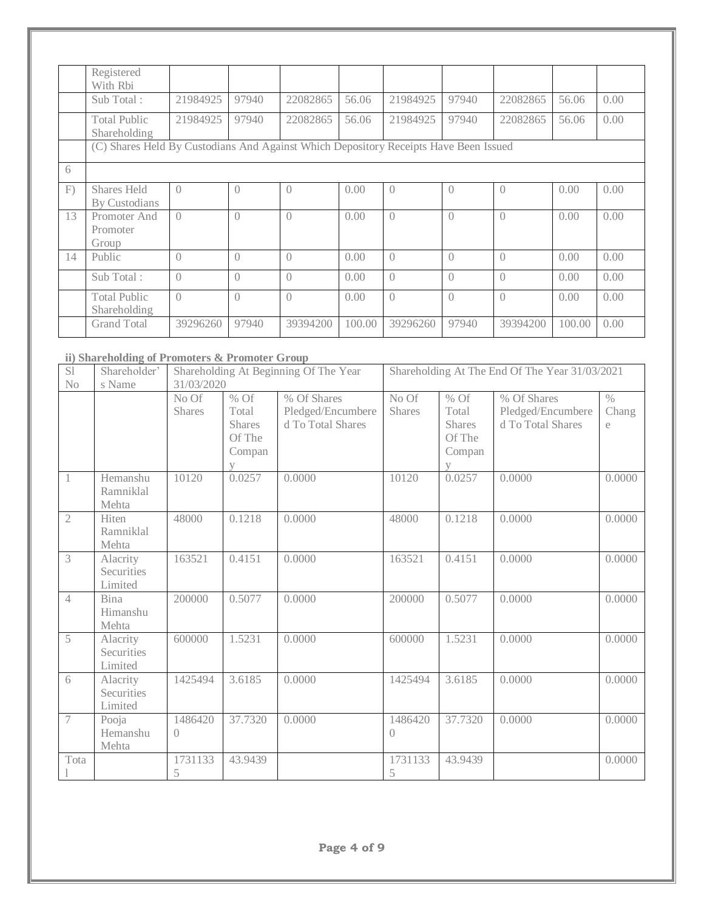|    | Registered<br>With Rhi                                                               |           |           |           |        |                  |                  |                  |        |      |
|----|--------------------------------------------------------------------------------------|-----------|-----------|-----------|--------|------------------|------------------|------------------|--------|------|
|    | Sub Total:                                                                           | 21984925  | 97940     | 22082865  | 56.06  | 21984925         | 97940            | 22082865         | 56.06  | 0.00 |
|    | <b>Total Public</b><br>Shareholding                                                  | 21984925  | 97940     | 22082865  | 56.06  | 21984925         | 97940            | 22082865         | 56.06  | 0.00 |
|    | (C) Shares Held By Custodians And Against Which Depository Receipts Have Been Issued |           |           |           |        |                  |                  |                  |        |      |
| 6  |                                                                                      |           |           |           |        |                  |                  |                  |        |      |
| F) | Shares Held<br>By Custodians                                                         | $\bigcap$ | $\bigcap$ | $\bigcap$ | 0.00   | $\left($         | $\bigcirc$       | $\left( \right)$ | 0.00   | 0.00 |
| 13 | Promoter And<br>Promoter<br>Group                                                    | $\bigcap$ | $\bigcap$ | $\bigcap$ | 0.00   | $\left( \right)$ | $\bigcap$        | $\left( \right)$ | 0.00   | 0.00 |
| 14 | Public                                                                               | $\bigcap$ | $\bigcap$ | $\bigcap$ | 0.00   | $\bigcap$        | $\bigcap$        | $\bigcap$        | 0.00   | 0.00 |
|    | Sub Total:                                                                           | $\bigcap$ | $\bigcap$ | $\bigcap$ | 0.00   | $\left( \right)$ | $\left( \right)$ | $\left( \right)$ | 0.00   | 0.00 |
|    | <b>Total Public</b><br>Shareholding                                                  | $\bigcap$ | $\bigcap$ | $\bigcap$ | 0.00   | $\left( \right)$ | $\left( \right)$ | $\bigcap$        | 0.00   | 0.00 |
|    | <b>Grand Total</b>                                                                   | 39296260  | 97940     | 39394200  | 100.00 | 39296260         | 97940            | 39394200         | 100.00 | 0.00 |

## **ii) Shareholding of Promoters & Promoter Group**

| S1                       | Shareholder'                      |                             |                                                                    | Shareholding At Beginning Of The Year                 |                        |                                                               | Shareholding At The End Of The Year 31/03/2021        |                             |
|--------------------------|-----------------------------------|-----------------------------|--------------------------------------------------------------------|-------------------------------------------------------|------------------------|---------------------------------------------------------------|-------------------------------------------------------|-----------------------------|
| No                       | s Name                            | 31/03/2020                  |                                                                    |                                                       |                        |                                                               |                                                       |                             |
|                          |                                   | No Of<br><b>Shares</b>      | % Of<br>Total<br><b>Shares</b><br>Of The<br>Compan<br>$\mathbf{V}$ | % Of Shares<br>Pledged/Encumbere<br>d To Total Shares | No Of<br><b>Shares</b> | $%$ Of<br>Total<br>Shares<br>Of The<br>Compan<br>$\mathbf{V}$ | % Of Shares<br>Pledged/Encumbere<br>d To Total Shares | $\frac{0}{0}$<br>Chang<br>e |
| 1                        | Hemanshu<br>Ramniklal<br>Mehta    | 10120                       | 0.0257                                                             | 0.0000                                                | 10120                  | 0.0257                                                        | 0.0000                                                | 0.0000                      |
| $\mathfrak{2}$           | Hiten<br>Ramniklal<br>Mehta       | 48000                       | 0.1218                                                             | 0.0000                                                | 48000                  | 0.1218                                                        | 0.0000                                                | 0.0000                      |
| 3                        | Alacrity<br>Securities<br>Limited | 163521                      | 0.4151                                                             | 0.0000                                                | 163521                 | 0.4151                                                        | 0.0000                                                | 0.0000                      |
| $\overline{4}$           | <b>Bina</b><br>Himanshu<br>Mehta  | 200000                      | 0.5077                                                             | 0.0000                                                | 200000                 | 0.5077                                                        | 0.0000                                                | 0.0000                      |
| 5                        | Alacrity<br>Securities<br>Limited | 600000                      | 1.5231                                                             | 0.0000                                                | 600000                 | 1.5231                                                        | 0.0000                                                | 0.0000                      |
| 6                        | Alacrity<br>Securities<br>Limited | 1425494                     | 3.6185                                                             | 0.0000                                                | 1425494                | 3.6185                                                        | 0.0000                                                | 0.0000                      |
| $\overline{\mathcal{I}}$ | Pooja<br>Hemanshu<br>Mehta        | 1486420<br>$\left( \right)$ | 37.7320                                                            | 0.0000                                                | 1486420<br>$\bigcap$   | 37.7320                                                       | 0.0000                                                | 0.0000                      |
| Tota                     |                                   | 1731133<br>5                | 43.9439                                                            |                                                       | 1731133<br>5           | 43.9439                                                       |                                                       | 0.0000                      |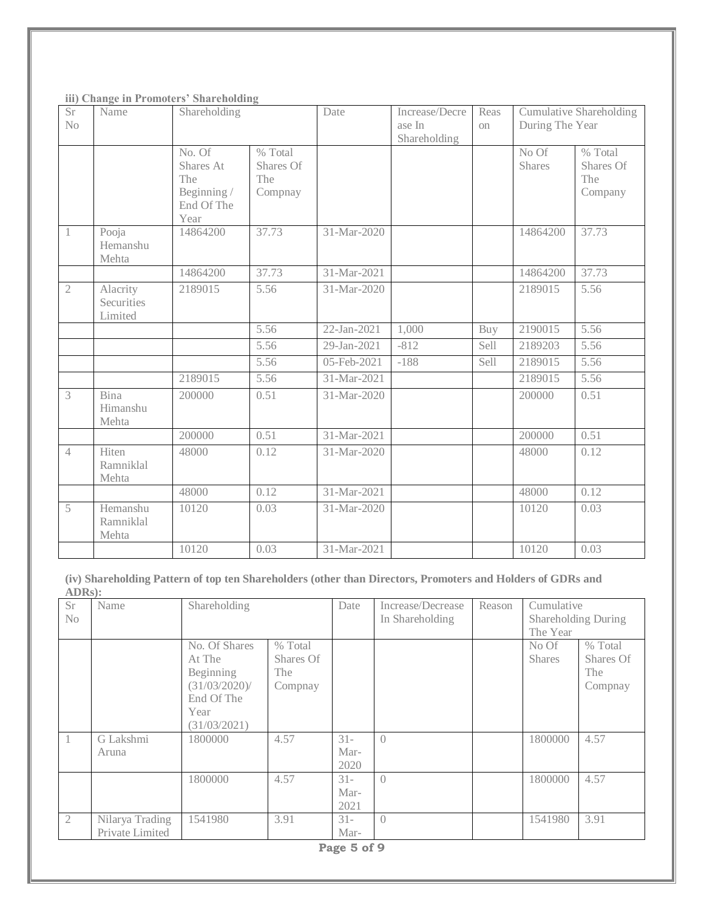|  |  |  |  | iii) Change in Promoters' Shareholding |
|--|--|--|--|----------------------------------------|
|--|--|--|--|----------------------------------------|

| Sr<br>N <sub>o</sub> | Name                              | Shareholding                                                    |                                          | Date        | Increase/Decre<br>ase In<br>Shareholding | Reas<br>on | During The Year | <b>Cumulative Shareholding</b>         |
|----------------------|-----------------------------------|-----------------------------------------------------------------|------------------------------------------|-------------|------------------------------------------|------------|-----------------|----------------------------------------|
|                      |                                   | No. Of<br>Shares At<br>The<br>Beginning /<br>End Of The<br>Year | $%$ Total<br>Shares Of<br>The<br>Compnay |             |                                          |            | No Of<br>Shares | % Total<br>Shares Of<br>The<br>Company |
| 1                    | Pooja<br>Hemanshu<br>Mehta        | 14864200                                                        | 37.73                                    | 31-Mar-2020 |                                          |            | 14864200        | 37.73                                  |
|                      |                                   | 14864200                                                        | 37.73                                    | 31-Mar-2021 |                                          |            | 14864200        | 37.73                                  |
| $\overline{2}$       | Alacrity<br>Securities<br>Limited | 2189015                                                         | 5.56                                     | 31-Mar-2020 |                                          |            | 2189015         | 5.56                                   |
|                      |                                   |                                                                 | 5.56                                     | 22-Jan-2021 | 1,000                                    | Buy        | 2190015         | 5.56                                   |
|                      |                                   |                                                                 | 5.56                                     | 29-Jan-2021 | $-812$                                   | Sell       | 2189203         | 5.56                                   |
|                      |                                   |                                                                 | 5.56                                     | 05-Feb-2021 | $-188$                                   | Sell       | 2189015         | 5.56                                   |
|                      |                                   | 2189015                                                         | 5.56                                     | 31-Mar-2021 |                                          |            | 2189015         | 5.56                                   |
| 3                    | Bina<br>Himanshu<br>Mehta         | 200000                                                          | 0.51                                     | 31-Mar-2020 |                                          |            | 200000          | 0.51                                   |
|                      |                                   | 200000                                                          | 0.51                                     | 31-Mar-2021 |                                          |            | 200000          | 0.51                                   |
| $\overline{4}$       | Hiten<br>Ramniklal<br>Mehta       | 48000                                                           | 0.12                                     | 31-Mar-2020 |                                          |            | 48000           | 0.12                                   |
|                      |                                   | 48000                                                           | 0.12                                     | 31-Mar-2021 |                                          |            | 48000           | 0.12                                   |
| 5                    | Hemanshu<br>Ramniklal<br>Mehta    | 10120                                                           | 0.03                                     | 31-Mar-2020 |                                          |            | 10120           | 0.03                                   |
|                      |                                   | 10120                                                           | 0.03                                     | 31-Mar-2021 |                                          |            | 10120           | 0.03                                   |

**(iv) Shareholding Pattern of top ten Shareholders (other than Directors, Promoters and Holders of GDRs and ADRs):**

| <b>Sr</b><br>No | Name                               | Shareholding                                                                                |                                        | Date                   | Increase/Decrease<br>In Shareholding | Reason | Cumulative<br>Shareholding During<br>The Year |                                        |
|-----------------|------------------------------------|---------------------------------------------------------------------------------------------|----------------------------------------|------------------------|--------------------------------------|--------|-----------------------------------------------|----------------------------------------|
|                 |                                    | No. Of Shares<br>At The<br>Beginning<br>(31/03/2020)/<br>End Of The<br>Year<br>(31/03/2021) | % Total<br>Shares Of<br>The<br>Compnay |                        |                                      |        | No Of<br><b>Shares</b>                        | % Total<br>Shares Of<br>The<br>Compnay |
| 1               | G Lakshmi<br>Aruna                 | 1800000                                                                                     | 4.57                                   | $31 -$<br>Mar-<br>2020 | $\bigcap$                            |        | 1800000                                       | 4.57                                   |
|                 |                                    | 1800000                                                                                     | 4.57                                   | $31 -$<br>Mar-<br>2021 | $\bigcap$                            |        | 1800000                                       | 4.57                                   |
| $\mathfrak{2}$  | Nilarya Trading<br>Private Limited | 1541980                                                                                     | 3.91                                   | $31 -$<br>Mar-         | $\bigcap$                            |        | 1541980                                       | 3.91                                   |
|                 |                                    |                                                                                             |                                        | Page 5 of 9            |                                      |        |                                               |                                        |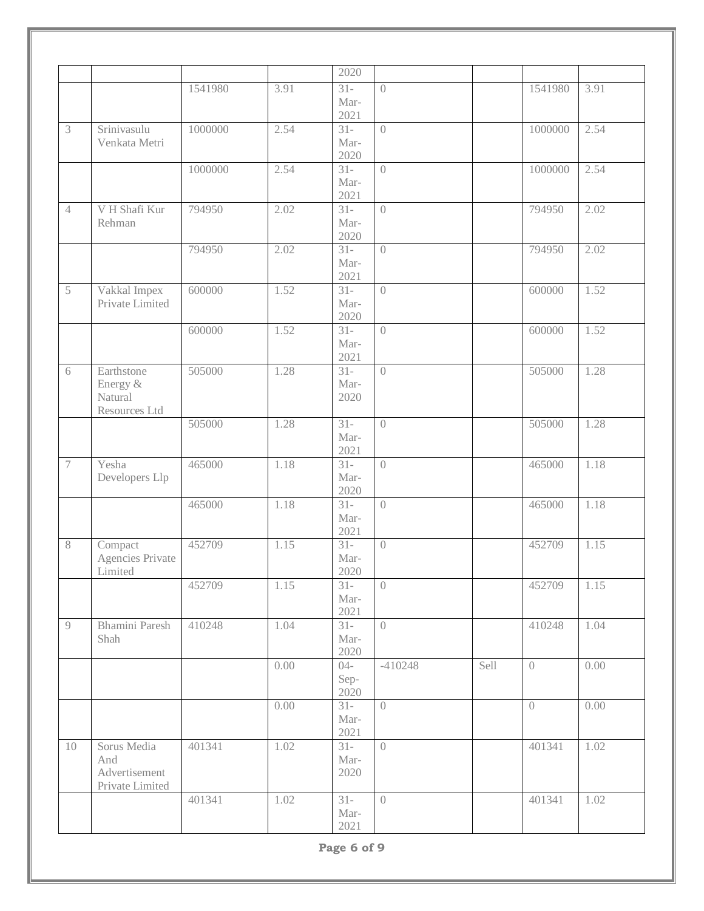|                |                                                        |         |      | 2020                   |                  |      |                |      |
|----------------|--------------------------------------------------------|---------|------|------------------------|------------------|------|----------------|------|
|                |                                                        | 1541980 | 3.91 | $31 -$<br>Mar-         | $\overline{0}$   |      | 1541980        | 3.91 |
|                |                                                        |         |      | 2021                   |                  |      |                |      |
| $\mathfrak{Z}$ | Srinivasulu<br>Venkata Metri                           | 1000000 | 2.54 | $31 -$<br>Mar-<br>2020 | $\overline{0}$   |      | 1000000        | 2.54 |
|                |                                                        | 1000000 | 2.54 | $31 -$<br>Mar-<br>2021 | $\overline{0}$   |      | 1000000        | 2.54 |
| $\overline{4}$ | V H Shafi Kur<br>Rehman                                | 794950  | 2.02 | $31 -$<br>Mar-<br>2020 | $\left( \right)$ |      | 794950         | 2.02 |
|                |                                                        | 794950  | 2.02 | $31 -$<br>Mar-<br>2021 | $\bigcirc$       |      | 794950         | 2.02 |
| 5              | Vakkal Impex<br>Private Limited                        | 600000  | 1.52 | $31 -$<br>Mar-<br>2020 | $\overline{0}$   |      | 600000         | 1.52 |
|                |                                                        | 600000  | 1.52 | $31 -$<br>Mar-<br>2021 | $\bigcap$        |      | 600000         | 1.52 |
| 6              | Earthstone<br>Energy &<br>Natural<br>Resources Ltd     | 505000  | 1.28 | $31 -$<br>Mar-<br>2020 | $\bigcap$        |      | 505000         | 1.28 |
|                |                                                        | 505000  | 1.28 | $31 -$<br>Mar-<br>2021 | $\left( \right)$ |      | 505000         | 1.28 |
| $\tau$         | Yesha<br>Developers Llp                                | 465000  | 1.18 | $31 -$<br>Mar-<br>2020 | $\left( \right)$ |      | 465000         | 1.18 |
|                |                                                        | 465000  | 1.18 | $31 -$<br>Mar-<br>2021 | $\overline{0}$   |      | 465000         | 1.18 |
| 8              | Compact<br>Agencies Private<br>Limited                 | 452709  | 1.15 | $31 -$<br>Mar-<br>2020 | $\overline{0}$   |      | 452709         | 1.15 |
|                |                                                        | 452709  | 1.15 | $31 -$<br>Mar-<br>2021 | $\overline{0}$   |      | 452709         | 1.15 |
| 9              | Bhamini Paresh<br>Shah                                 | 410248  | 1.04 | $31 -$<br>Mar-<br>2020 | $\overline{0}$   |      | 410248         | 1.04 |
|                |                                                        |         | 0.00 | $04 -$<br>Sep-<br>2020 | $-410248$        | Sell | $\overline{0}$ | 0.00 |
|                |                                                        |         | 0.00 | $31 -$<br>Mar-<br>2021 | $\overline{0}$   |      | $\overline{0}$ | 0.00 |
| 10             | Sorus Media<br>And<br>Advertisement<br>Private Limited | 401341  | 1.02 | $31 -$<br>Mar-<br>2020 | $\overline{0}$   |      | 401341         | 1.02 |
|                |                                                        | 401341  | 1.02 | $31 -$<br>Mar-<br>2021 | $\overline{0}$   |      | 401341         | 1.02 |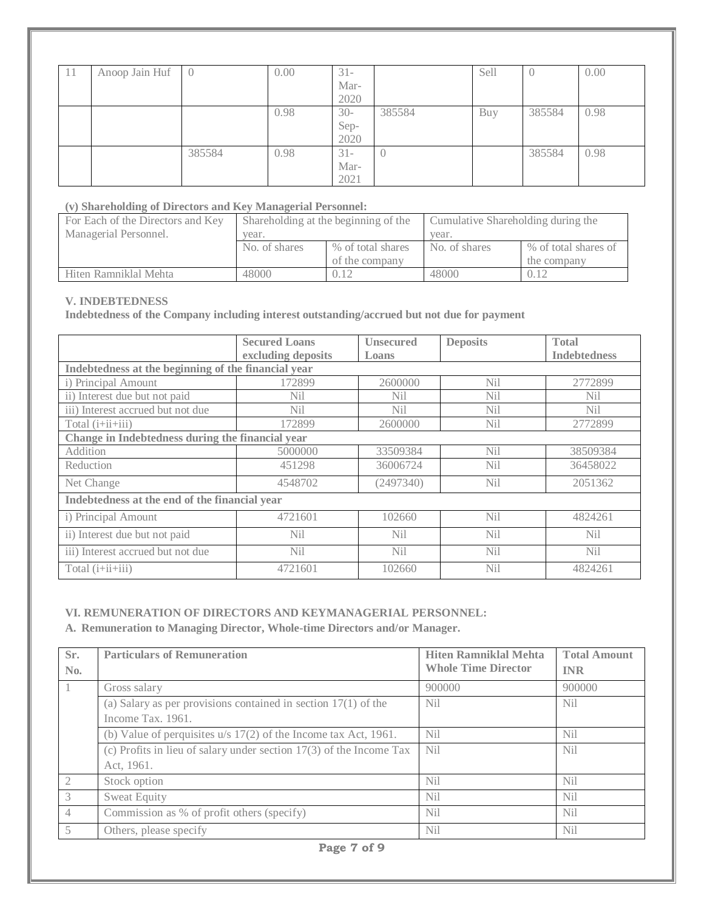| -14 | Anoop Jain Huf | IU.    | 0.00 | $31 -$<br>Mar-<br>2020 |        | Sell | O      | 0.00 |
|-----|----------------|--------|------|------------------------|--------|------|--------|------|
|     |                |        | 0.98 | $30-$<br>Sep-<br>2020  | 385584 | Buy  | 385584 | 0.98 |
|     |                | 385584 | 0.98 | $31 -$<br>Mar-<br>2021 |        |      | 385584 | 0.98 |

#### **(v) Shareholding of Directors and Key Managerial Personnel:**

| For Each of the Directors and Key | Shareholding at the beginning of the |                   | Cumulative Shareholding during the |                      |  |
|-----------------------------------|--------------------------------------|-------------------|------------------------------------|----------------------|--|
| Managerial Personnel.             | year.                                |                   | vear.                              |                      |  |
|                                   | No. of shares                        | % of total shares | No. of shares                      | % of total shares of |  |
|                                   |                                      | of the company    |                                    | the company          |  |
| Hiten Ramniklal Mehta             | 48000                                | 0.12              | 48000                              | 0.12                 |  |

#### **V. INDEBTEDNESS**

**Indebtedness of the Company including interest outstanding/accrued but not due for payment** 

|                                                     | <b>Secured Loans</b><br>excluding deposits    | <b>Unsecured</b><br>Loans | <b>Deposits</b> | <b>Total</b><br><b>Indebtedness</b> |  |  |
|-----------------------------------------------------|-----------------------------------------------|---------------------------|-----------------|-------------------------------------|--|--|
| Indebtedness at the beginning of the financial year |                                               |                           |                 |                                     |  |  |
| i) Principal Amount                                 | 172899                                        | 2600000                   | Ni1             | 2772899                             |  |  |
| ii) Interest due but not paid                       | Nil                                           | Nil                       | N <sub>i</sub>  | <b>Nil</b>                          |  |  |
| iii) Interest accrued but not due                   | Nil                                           | Nil                       | N <sub>il</sub> | N <sub>i</sub>                      |  |  |
| Total $(i+iii+iii)$                                 | 172899                                        | 2600000                   | Nil             | 2772899                             |  |  |
| Change in Indebtedness during the financial year    |                                               |                           |                 |                                     |  |  |
| Addition                                            | 5000000                                       | 33509384                  | <b>Nil</b>      | 38509384                            |  |  |
| Reduction                                           | 451298                                        | 36006724                  | N <sub>il</sub> | 36458022                            |  |  |
| Net Change                                          | 4548702                                       | (2497340)                 | N <sub>i</sub>  | 2051362                             |  |  |
|                                                     | Indebtedness at the end of the financial year |                           |                 |                                     |  |  |
| i) Principal Amount                                 | 4721601                                       | 102660                    | N <sub>i</sub>  | 4824261                             |  |  |
| ii) Interest due but not paid                       | Nil                                           | N <sub>i</sub>            | N <sub>i</sub>  | <b>Nil</b>                          |  |  |
| iii) Interest accrued but not due                   | N <sub>i</sub>                                | N <sub>i</sub>            | N <sub>i</sub>  | N <sub>i</sub>                      |  |  |
| Total $(i+iii+iii)$                                 | 4721601                                       | 102660                    | <b>Nil</b>      | 4824261                             |  |  |

#### **VI. REMUNERATION OF DIRECTORS AND KEYMANAGERIAL PERSONNEL:**

**A. Remuneration to Managing Director, Whole-time Directors and/or Manager.**

| Sr.                      | <b>Particulars of Remuneration</b>                                    | <b>Hiten Ramniklal Mehta</b> | <b>Total Amount</b> |  |  |  |
|--------------------------|-----------------------------------------------------------------------|------------------------------|---------------------|--|--|--|
| No.                      |                                                                       | <b>Whole Time Director</b>   | <b>INR</b>          |  |  |  |
|                          | Gross salary                                                          | 900000                       | 900000              |  |  |  |
|                          | (a) Salary as per provisions contained in section $17(1)$ of the      | N <sub>il</sub>              | <b>Nil</b>          |  |  |  |
|                          | Income Tax. 1961.                                                     |                              |                     |  |  |  |
|                          | (b) Value of perquisites $u/s$ 17(2) of the Income tax Act, 1961.     | N <sub>il</sub>              | N <sub>i</sub>      |  |  |  |
|                          | (c) Profits in lieu of salary under section $17(3)$ of the Income Tax | N <sub>i</sub>               | N <sub>i</sub>      |  |  |  |
|                          | Act, 1961.                                                            |                              |                     |  |  |  |
| $\mathfrak{D}$           | Stock option                                                          | N <sub>i</sub>               | N <sub>i</sub>      |  |  |  |
| 3                        | <b>Sweat Equity</b>                                                   | N <sub>i</sub>               | N <sub>i</sub>      |  |  |  |
| $\overline{4}$           | Commission as % of profit others (specify)                            | N <sub>i</sub>               | N <sub>i</sub>      |  |  |  |
| $\overline{\mathcal{L}}$ | Others, please specify                                                | <b>Nil</b>                   | N <sub>i</sub>      |  |  |  |
|                          | $D_{0}$ $\alpha$ $\alpha$ $\beta$ $\alpha$ $\beta$ $\alpha$           |                              |                     |  |  |  |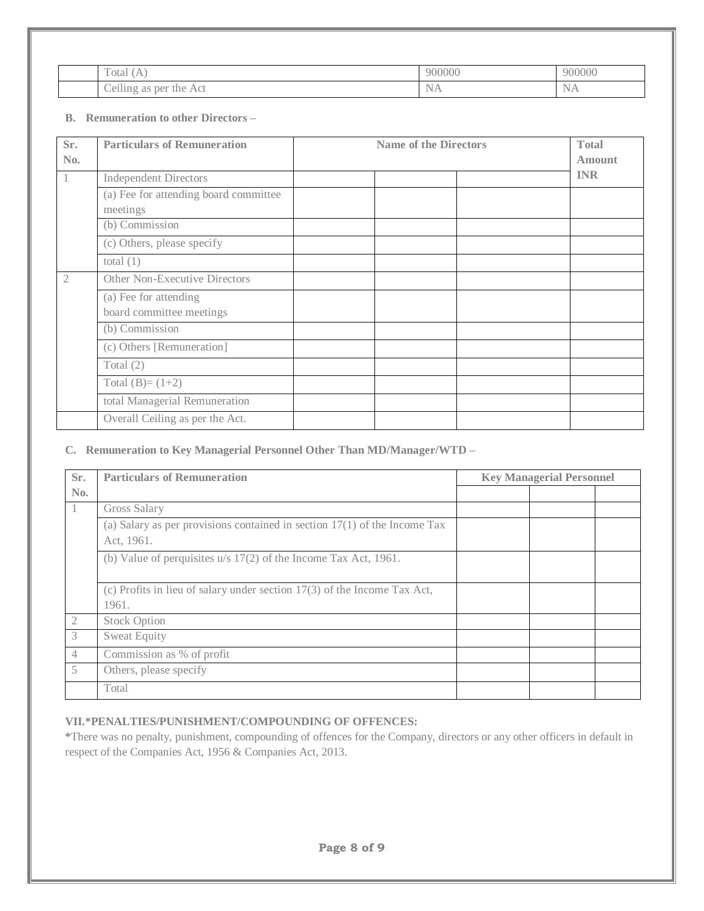| <b>__</b><br>`otal<br>А<br>( <i>i</i> A | 900000        | 900000                           |
|-----------------------------------------|---------------|----------------------------------|
| $-$<br>Ceiling as<br>per<br>the Act     | $\sim$<br>NA. | $\sim$<br>$N_{\rm A}$<br>1 V 4 X |

# **B. Remuneration to other Directors –**

| Sr.<br>No.     | <b>Particulars of Remuneration</b>                | <b>Name of the Directors</b> |            |
|----------------|---------------------------------------------------|------------------------------|------------|
|                | <b>Independent Directors</b>                      |                              | <b>INR</b> |
|                | (a) Fee for attending board committee<br>meetings |                              |            |
|                | (b) Commission                                    |                              |            |
|                | (c) Others, please specify                        |                              |            |
|                | total $(1)$                                       |                              |            |
| $\overline{2}$ | Other Non-Executive Directors                     |                              |            |
|                | (a) Fee for attending<br>board committee meetings |                              |            |
|                | (b) Commission                                    |                              |            |
|                | (c) Others [Remuneration]                         |                              |            |
|                | Total $(2)$                                       |                              |            |
|                | Total $(B)=(1+2)$                                 |                              |            |
|                | total Managerial Remuneration                     |                              |            |
|                | Overall Ceiling as per the Act.                   |                              |            |

# **C. Remuneration to Key Managerial Personnel Other Than MD/Manager/WTD –**

| Sr.            | <b>Particulars of Remuneration</b>                                                        | <b>Key Managerial Personnel</b> |  |  |
|----------------|-------------------------------------------------------------------------------------------|---------------------------------|--|--|
| No.            |                                                                                           |                                 |  |  |
|                | Gross Salary                                                                              |                                 |  |  |
|                | (a) Salary as per provisions contained in section $17(1)$ of the Income Tax<br>Act, 1961. |                                 |  |  |
|                | (b) Value of perquisites $u/s$ 17(2) of the Income Tax Act, 1961.                         |                                 |  |  |
|                | (c) Profits in lieu of salary under section $17(3)$ of the Income Tax Act,<br>1961.       |                                 |  |  |
| $\mathfrak{2}$ | <b>Stock Option</b>                                                                       |                                 |  |  |
| 3              | <b>Sweat Equity</b>                                                                       |                                 |  |  |
| $\overline{4}$ | Commission as % of profit                                                                 |                                 |  |  |
| 5              | Others, please specify                                                                    |                                 |  |  |
|                | Total                                                                                     |                                 |  |  |

# **VII.\*PENALTIES/PUNISHMENT/COMPOUNDING OF OFFENCES:**

**\***There was no penalty, punishment, compounding of offences for the Company, directors or any other officers in default in respect of the Companies Act, 1956 & Companies Act, 2013.